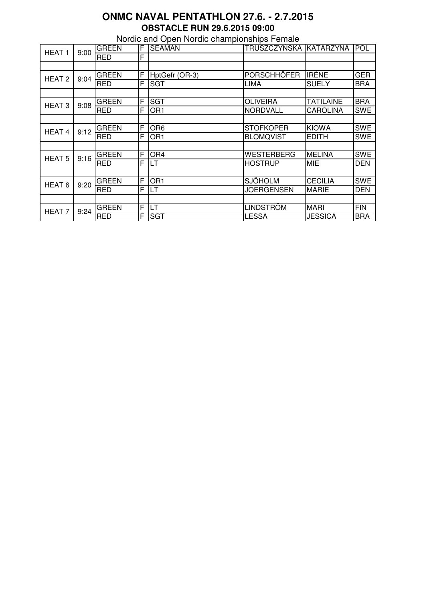## **ONMC NAVAL PENTATHLON 27.6. - 2.7.2015 OBSTACLE RUN 29.6.2015 09:00**

Nordic and Open Nordic championships Female

| HEAT <sub>1</sub> | 9:00 | <b>GREEN</b> | F | <b>SEAMAN</b>   | TRUSZCZYŃSKA KATARZYNA |                | POL        |
|-------------------|------|--------------|---|-----------------|------------------------|----------------|------------|
|                   |      | <b>RED</b>   | F |                 |                        |                |            |
|                   |      |              |   |                 |                        |                |            |
| HEAT <sub>2</sub> | 9:04 | <b>GREEN</b> | F | HptGefr (OR-3)  | <b>PORSCHHÖFER</b>     | <b>IRÉNE</b>   | <b>GER</b> |
|                   |      | <b>RED</b>   | F | <b>SGT</b>      | LIMA                   | <b>SUELY</b>   | <b>BRA</b> |
|                   |      |              |   |                 |                        |                |            |
| HEAT <sub>3</sub> | 9:08 | <b>GREEN</b> | F | <b>SGT</b>      | <b>OLIVEIRA</b>        | TATILAINE      | <b>BRA</b> |
|                   |      | <b>RED</b>   | F | OR1             | <b>NORDVALL</b>        | CAROLINA       | SWE        |
|                   |      |              |   |                 |                        |                |            |
| HEAT <sub>4</sub> | 9:12 | <b>GREEN</b> | F | OR <sub>6</sub> | <b>STOFKOPER</b>       | <b>KIOWA</b>   | <b>SWE</b> |
|                   |      | <b>RED</b>   | F | OR <sub>1</sub> | <b>BLOMQVIST</b>       | <b>EDITH</b>   | <b>SWE</b> |
|                   |      |              |   |                 |                        |                |            |
| <b>HEAT 5</b>     | 9:16 | <b>GREEN</b> | F | OR4             | <b>WESTERBERG</b>      | <b>MELINA</b>  | <b>SWE</b> |
|                   |      | <b>RED</b>   | F | LT              | <b>HOSTRUP</b>         | <b>MIE</b>     | DEN        |
|                   |      |              |   |                 |                        |                |            |
| HEAT <sub>6</sub> | 9:20 | <b>GREEN</b> | F | OR <sub>1</sub> | <b>SJÖHOLM</b>         | <b>CECILIA</b> | <b>SWE</b> |
|                   |      | <b>RED</b>   | F | LT              | <b>JOERGENSEN</b>      | <b>MARIE</b>   | <b>DEN</b> |
|                   |      |              |   |                 |                        |                |            |
| HEAT <sub>7</sub> | 9:24 | <b>GREEN</b> | F | LT              | <b>LINDSTRÖM</b>       | <b>MARI</b>    | FIN        |
|                   |      | <b>RED</b>   | F | <b>SGT</b>      | <b>LESSA</b>           | <b>JESSICA</b> | <b>BRA</b> |